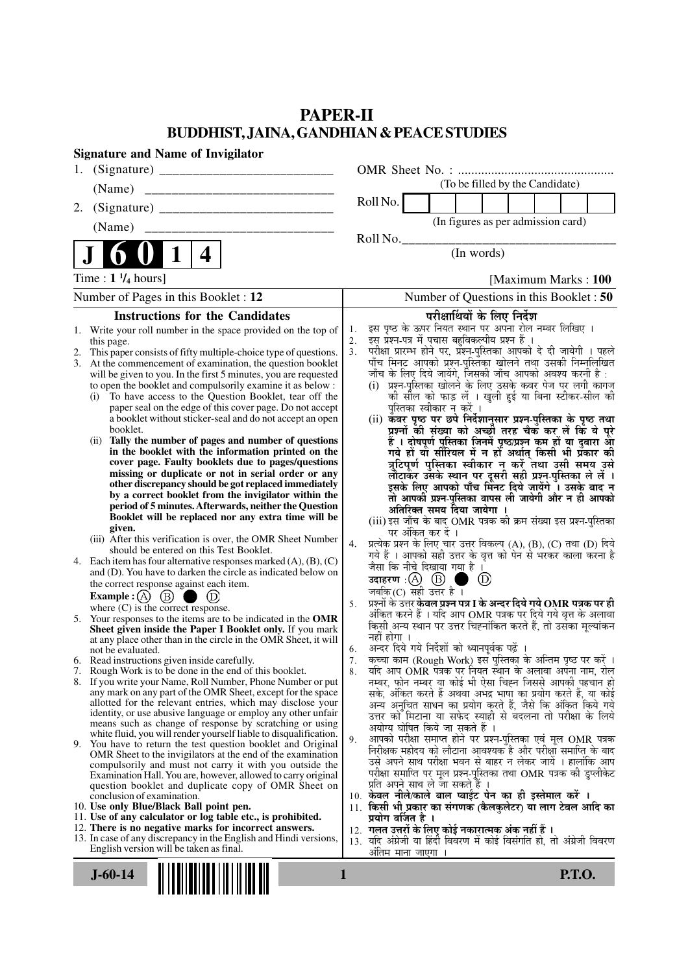# **PAPER-II BUDDHIST, JAINA, GANDHIAN & PEACE STUDIES**

| <b>Signature and Name of Invigilator</b>                                                                                                 |                                                                                                                                             |
|------------------------------------------------------------------------------------------------------------------------------------------|---------------------------------------------------------------------------------------------------------------------------------------------|
|                                                                                                                                          |                                                                                                                                             |
| (Name)                                                                                                                                   | (To be filled by the Candidate)                                                                                                             |
| 2.                                                                                                                                       | Roll No.                                                                                                                                    |
|                                                                                                                                          | (In figures as per admission card)                                                                                                          |
|                                                                                                                                          | Roll No.                                                                                                                                    |
| $\mathbf 1$<br>4                                                                                                                         | (In words)                                                                                                                                  |
| Time : $1 \frac{1}{4}$ hours]                                                                                                            | [Maximum Marks: 100]                                                                                                                        |
| Number of Pages in this Booklet : 12                                                                                                     | Number of Questions in this Booklet : 50                                                                                                    |
| <b>Instructions for the Candidates</b>                                                                                                   | परीक्षार्थियों के लिए निर्देश                                                                                                               |
| Write your roll number in the space provided on the top of<br>1.                                                                         | इस पृष्ठ के ऊपर नियत स्थान पर अपना रोल नम्बर लिखिए ।<br>इस प्रश्न-पत्र में पुचास बहुविकल्पीय प्रश्न हैं ।<br>1.                             |
| this page.<br>This paper consists of fifty multiple-choice type of questions.<br>2.                                                      | 2.<br>परीक्षा प्रारम्भ होने पर, प्रॅश्न-पुस्तिका आपको दे दी जायेगी । पहले<br>पाँच मिनट आपको प्रश्न-पुस्तिका खोलने तथा उसकी निम्नलिखित<br>3. |
| At the commencement of examination, the question booklet<br>3.                                                                           |                                                                                                                                             |
| will be given to you. In the first 5 minutes, you are requested<br>to open the booklet and compulsorily examine it as below :            | जाँच के लिए दिये जायेंगे, जिसकी जाँच आपको अवश्य करनी है :<br>(i) प्रश्न-पुरितका खोलने के लिए उसके कवर पेज पर लगी कागज                       |
| To have access to the Question Booklet, tear off the<br>(i)                                                                              | की सील को फाड़ लें । खुली हुई या बिना स्टीकर-सील की                                                                                         |
| paper seal on the edge of this cover page. Do not accept                                                                                 | पुस्तिका स्वीकार न करें ।                                                                                                                   |
| a booklet without sticker-seal and do not accept an open<br>booklet.                                                                     | (ii) कवर पृष्ठ पर छपे निर्देशानुसार प्रश्न-पुस्तिका के पृष्ठ तथा<br>प्रश्नों की संख्या को अच्छों तरह चैक कर लें कि ये पूरे                  |
| Tally the number of pages and number of questions<br>(ii)                                                                                | हैं । दोषपूर्ण पुस्तिका जिनमें पृष्ठ/प्रश्न कम हों या दुबारा आ<br>गये हो या सीरियल में न हो अर्थात् किसी भी प्रकार की                       |
| in the booklet with the information printed on the<br>cover page. Faulty booklets due to pages/questions                                 | त्रुटिपूर्ण पुस्तिका स्वीकार न करें तथा उसी समय उसे                                                                                         |
| missing or duplicate or not in serial order or any                                                                                       | लौटाकर उसके स्थान पर दूसरी सही प्रश्न-पुस्तिका ले लें ।                                                                                     |
| other discrepancy should be got replaced immediately<br>by a correct booklet from the invigilator within the                             | इसके लिए आपको पाँच मिंनट दिये जायेंगे ँ। उसके बाद न                                                                                         |
| period of 5 minutes. Afterwards, neither the Question                                                                                    | तो आपकी प्रश्न-पुस्तिका वापस ली जायेगी और न ही आपको<br>अतिरिक्त समय दिया जायेगा ।                                                           |
| Booklet will be replaced nor any extra time will be                                                                                      | (iii) इस जाँच के बाद OMR पत्रक की क्रम संख्या इस प्रश्न-पुस्तिका                                                                            |
| given.<br>(iii) After this verification is over, the OMR Sheet Number                                                                    | पर अंकित कर दें ।                                                                                                                           |
| should be entered on this Test Booklet.                                                                                                  | 4.<br>प्रत्येक प्रश्न के लिए चार उत्तर विकल्प (A), (B), (C) तथा (D) दिये<br>गये हैं । आपको सही उत्तर के वृत्त को पेन से भरकर काला करना है   |
| 4. Each item has four alternative responses marked $(A)$ , $(B)$ , $(C)$<br>and (D). You have to darken the circle as indicated below on | जैसा कि नीचे दिखाया गया है ।                                                                                                                |
| the correct response against each item.                                                                                                  | उदाहरण $\alpha$ $\omega$ $\Theta$<br>m.<br>$\circled{D}$                                                                                    |
| Example : $(A)$ $(B)$<br>D                                                                                                               | जबकि (C) सही उत्तर है $\overline{1}$<br>प्रश्नों के उत्तर <b>केवल प्रश्न पत्र I के अन्दर दिये गये OMR पत्रक पर ही</b><br>5.                 |
| where $(C)$ is the correct response.<br>5. Your responses to the items are to be indicated in the OMR                                    | अंकित करने हैं । यदि आप OMR पत्रक पर दिये गये वृत्त के अलावा                                                                                |
| Sheet given inside the Paper I Booklet only. If you mark                                                                                 | किसी अन्य स्थान पर उत्तर चिह्नांकित करते हैं, तो उसका मूल्यांकन<br>नहीं होगा ।                                                              |
| at any place other than in the circle in the OMR Sheet, it will<br>not be evaluated.                                                     | अन्दर दिये गये निर्देशों को ध्यानपूर्वक पढ़ें ।<br>6.                                                                                       |
| 6. Read instructions given inside carefully.                                                                                             | कृत्वा काम (Rough Work) इस पुस्तिका के अन्तिम पृष्ठ पर करें ।<br>7.                                                                         |
| 7. Rough Work is to be done in the end of this booklet.<br>8. If you write your Name, Roll Number, Phone Number or put                   | यदि आप OMR पत्रक पर नियत स्थान के अलावा अपना नाम, रोल<br>8.<br>नम्बर, फोन नम्बर या कोई भी ऐसा चिह्न जिससे आपकी पहचान हो                     |
| any mark on any part of the OMR Sheet, except for the space                                                                              | सके, अंकित करते हैं अथवा अभद्र भाषा का प्रयोग करते हैं, या कोई                                                                              |
| allotted for the relevant entries, which may disclose your<br>identity, or use abusive language or employ any other unfair               | अन्य अनुचित साधन का प्रयोग करते हैं, जैसे कि अंकित किये गये                                                                                 |
| means such as change of response by scratching or using                                                                                  | उत्तर को मिटाना या सफेद स्याही से बदलना तो परीक्षा के लिये<br>अयोग्य घोषित किये जा सकते हैं ।                                               |
| white fluid, you will render yourself liable to disqualification.<br>9. You have to return the test question booklet and Original        | आपको परीक्षा समाप्त होने पर प्रश्न-पुस्तिका एवं मूल OMR पत्रक<br>9.                                                                         |
| OMR Sheet to the invigilators at the end of the examination                                                                              | निरीक्षक महोदय को लौटाना आवश्यक है और परीक्षा समाप्ति के बाद                                                                                |
| compulsorily and must not carry it with you outside the<br>Examination Hall. You are, however, allowed to carry original                 | उसे अपने साथ परीक्षा भवन से बाहर न लेकर जायें । हालांकि आप<br>परीक्षा समाप्ति पर मूल प्रश्न-पुस्तिका तथा OMR पत्रक की डुप्लीकेट             |
| question booklet and duplicate copy of OMR Sheet on                                                                                      | प्रति अपने साथ ले जा सकते हैं ।                                                                                                             |
| conclusion of examination.<br>10. Use only Blue/Black Ball point pen.                                                                    | 10. केवल नीले/काले बाल प्वाईंट पेन का ही इस्तेमाल करें ।<br>11. किसी भी प्रकार का संगणक (कैलकुलेटर) या लाग टेबल आदि का                      |
| 11. Use of any calculator or log table etc., is prohibited.                                                                              | प्रयोग वर्जित है ।                                                                                                                          |
| 12. There is no negative marks for incorrect answers.                                                                                    | 12.  गलत उत्तरों के लिए कोई नकारात्मक अंक नहीं हैं ।                                                                                        |
| 13. In case of any discrepancy in the English and Hindi versions,<br>English version will be taken as final.                             | 13. यदि अंग्रेजी या हिंदी विवरण में कोई विसंगति हो, तो अंग्रेजी विवरण<br>अंतिम माना जाएगा ।                                                 |
|                                                                                                                                          |                                                                                                                                             |
| $J - 60 - 14$                                                                                                                            | <b>P.T.O.</b><br>1                                                                                                                          |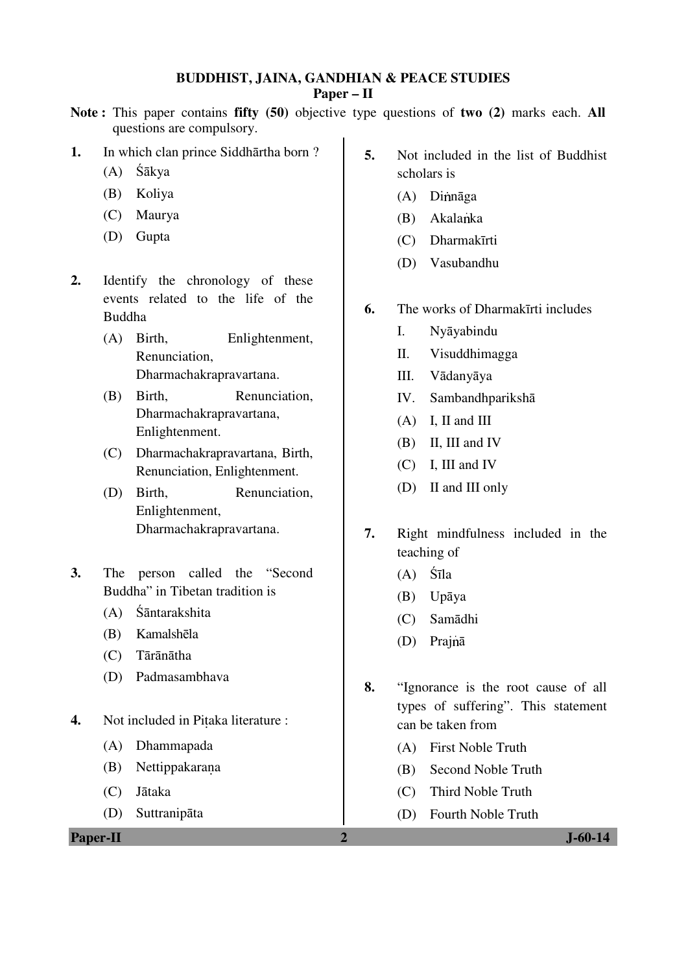#### **BUDDHIST, JAINA, GANDHIAN & PEACE STUDIES Paper – II**

### **Note :** This paper contains **fifty (50)** objective type questions of **two (2)** marks each. **All** questions are compulsory.

#### **1.** In which clan prince Siddhārtha born ?

- (A) Śākya
- (B) Koliya
- (C) Maurya
- (D) Gupta
- **2.** Identify the chronology of these events related to the life of the Buddha
	- (A) Birth, Enlightenment, Renunciation, Dharmachakrapravartana.
	- (B) Birth, Renunciation. Dharmachakrapravartana, Enlightenment.
	- (C) Dharmachakrapravartana, Birth, Renunciation, Enlightenment.
	- (D) Birth, Renunciation, Enlightenment, Dharmachakrapravartana.
- **3.** The person called the "Second Buddha" in Tibetan tradition is
	- (A) Śāntarakshita
	- (B) Kamalshēla
	- (C) Tārānātha
	- (D) Padmasambhava
- **4.** Not included in Pitaka literature :
	- (A) Dhammapada
	- (B) Nettippakarana
	- (C) Jātaka
	- (D) Suttranipāta

**Paper-II 2 J-60-14**

- **5.** Not included in the list of Buddhist scholars is
	- $(A)$  Dinnāga
	- $(B)$  Akalanka
	- (C) Dharmakīrti
	- (D) Vasubandhu
- **6.** The works of Dharmakīrti includes
	- I. Nyāyabindu
	- II. Visuddhimagga
	- III. Vādanyāya
	- IV. Sambandhparikshā
	- (A) I, II and III
	- (B) II, III and IV
	- (C) I, III and IV
	- (D) II and III only
- **7.** Right mindfulness included in the teaching of
	- (A) Śīla
	- (B) Upāya
	- (C) Samādhi
	- (D) Prainā
- **8.** "Ignorance is the root cause of all types of suffering". This statement can be taken from
	- (A) First Noble Truth
	- (B) Second Noble Truth
	- (C) Third Noble Truth
	- (D) Fourth Noble Truth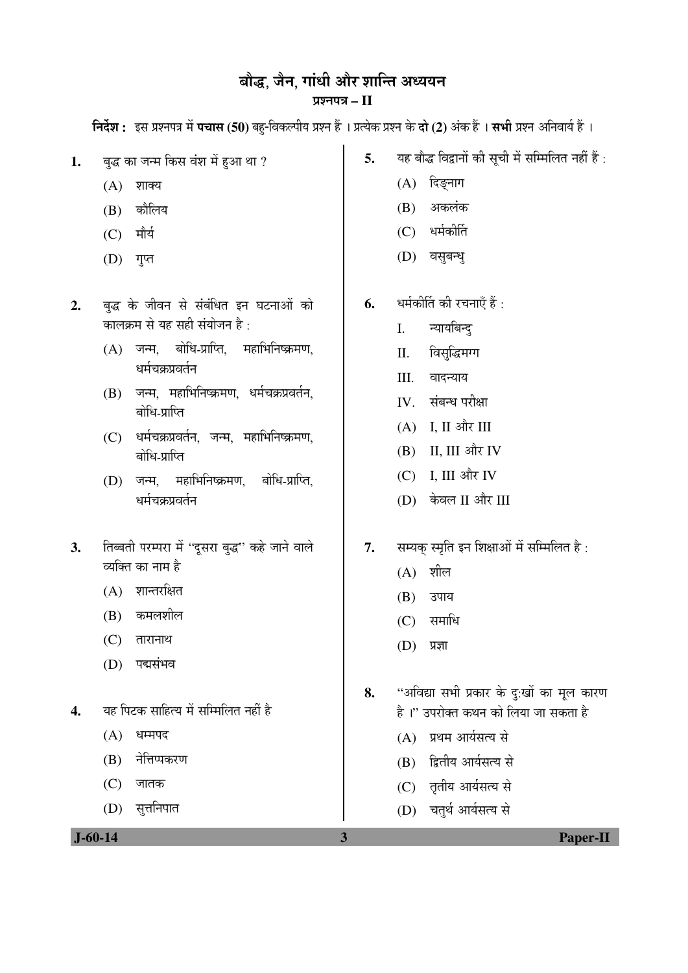## बौद्ध, जैन, गांधी और शान्ति अध्ययन ¯ÖÏ¿®Ö¯Ö¡Ö **– II**

**निर्देश :** इस प्रश्नपत्र में **पचास (50)** बहु-विकल्पीय प्रश्न हैं । प्रत्येक प्रश्न के **दो (2)** अंक हैं । सभी प्रश्न अनिवार्य हैं ।

- 1. बुद्ध का जन्म किस वंश में हुआ था ?
	- $(A)$  शाक्य
	- $(B)$  कौलिय
	- $(C)$  मौर्य
	- $(D)$  गुप्त
- 2. बुद्ध के जीवन से संबंधित इन घटनाओं को कालक्रम से यह सही संयोजन है:
	- $(A)$  जन्म, बोधि-प्राप्ति, महाभिनिष्क्रमण, धर्मचकप्रवर्तन
	- $(B)$  जन्म, महाभिनिष्क्रमण, धर्मचक्रप्रवर्तन, बोधि-प्राप्ति
	- $(C)$  धर्मचक्रप्रवर्तन, जन्म, महाभिनिष्क्रमण, बोधि-प्राप्ति
	- (D) जन्म, महाभिनिष्क्रमण, बोधि-प्राप्ति, धर्मचकप्रवर्तन
- 3. तिब्बती परम्परा में "दूसरा बुद्ध" कहे जाने वाले व्यक्ति का नाम है
	- $(A)$  शान्तरक्षित
	- $(B)$  कमलशील
	- $(C)$  तारानाथ
	- (D) पद्मसंभव
- 4. यह पिटक साहित्य में सम्मिलित नहीं है
	- $(A)$  धम्मपद
	- (B) नेतिप्पकरण
	- $(C)$  जातक
	- (D) सृत्तनिपात
- **5.** यह बौद्ध विद्वानों की सूची में सम्मिलित नहीं हैं :
	- $(A)$  दिङ्नाग
	- $(B)$  अकलंक
	- $(C)$  धर्मकीर्ति
	- (D) वसुबन्धु
- **6.** धर्मकीर्ति की रचनाएँ हैं :
	- I. न्यायबिन्दु
	- II. विसुद्धिमग्ग
	- III. वादन्याय
	- IV. संबन्ध परीक्षा
	- $(A)$  I, II और III
	- $(B)$  II, III और IV
	- $(C)$  I, III और IV
	- (D) केवल II और III
- 7. सम्यक स्मृति इन शिक्षाओं में सम्मिलित है:
	- $(A)$  शील
	- (B) उपाय
	- $(C)$  समाधि
	- $(D)$  प्रज्ञा
- 8. "अविद्या सभी प्रकार के दुःखों का मूल कारण है।" उपरोक्त कथन को लिया जा सकता है
	- (A) प्रथम आर्यसत्य से
	- (B) द्वितीय आर्यसत्य से
	- (C) तृतीय आर्यसत्य से
	- (D) चतुर्थ आर्यसत्य से

 **J-60-14 3 Paper-II**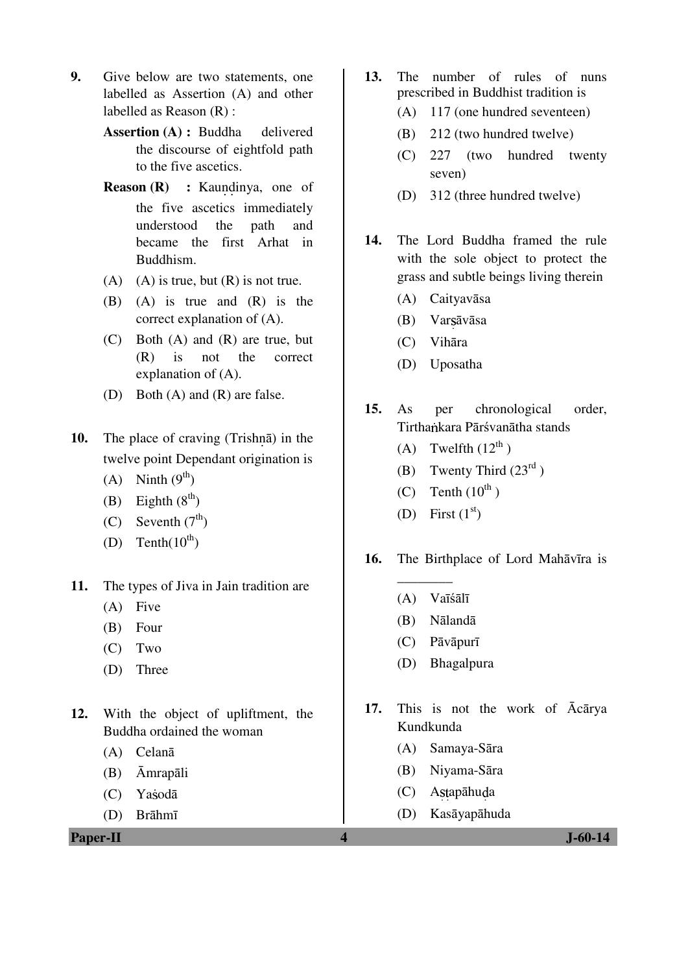- **9.** Give below are two statements, one labelled as Assertion (A) and other labelled as Reason (R) :
	- **Assertion (A) : Buddha** delivered the discourse of eightfold path to the five ascetics.
	- **Reason (R) :** Kaundinya, one of the five ascetics immediately understood the path and became the first Arhat in Buddhism.
	- (A) (A) is true, but  $(R)$  is not true.
	- (B) (A) is true and (R) is the correct explanation of (A).
	- (C) Both (A) and (R) are true, but (R) is not the correct explanation of (A).
	- (D) Both (A) and (R) are false.
- **10.** The place of craving (Trishna) in the twelve point Dependant origination is
	- (A) Ninth  $(9^{th})$
	- (B) Eighth  $(8<sup>th</sup>)$
	- (C) Seventh  $(7<sup>th</sup>)$
	- (D) Tenth $(10^{th})$
- **11.** The types of Jiva in Jain tradition are
	- (A) Five
	- (B) Four
	- (C) Two
	- (D) Three
- **12.** With the object of upliftment, the Buddha ordained the woman
	- (A) Celanā
	- (B) Āmrapāli
	- (C) Yasodā
	- (D) Brāhmī

**Paper-II 4 J-60-14**

- **13.** The number of rules of nuns prescribed in Buddhist tradition is
	- (A) 117 (one hundred seventeen)
	- (B) 212 (two hundred twelve)
	- (C) 227 (two hundred twenty seven)
	- (D) 312 (three hundred twelve)
- **14.** The Lord Buddha framed the rule with the sole object to protect the grass and subtle beings living therein
	- (A) Caityavāsa
	- (B) Var āvāsa
	- (C) Vihāra
	- (D) Uposatha
- **15.** As per chronological order, Tirthankara Pārśvanātha stands
	- (A) Twelfth  $(12^{th})$
	- (B) Twenty Third  $(23<sup>rd</sup>)$
	- (C) Tenth  $(10^{th})$
	- (D) First  $(1<sup>st</sup>)$
- **16.** The Birthplace of Lord Mahāvīra is
	- \_\_\_\_\_\_\_\_ (A) Vaīśālī
	- (B) Nālandā
	- (C) Pāvāpurī
	- (D) Bhagalpura
- **17.** This is not the work of Ācārya Kundkunda
	- (A) Samaya-Sāra
	- (B) Niyama-Sāra
	- (C) Astapāhuda
	- (D) Kasāyapāhuda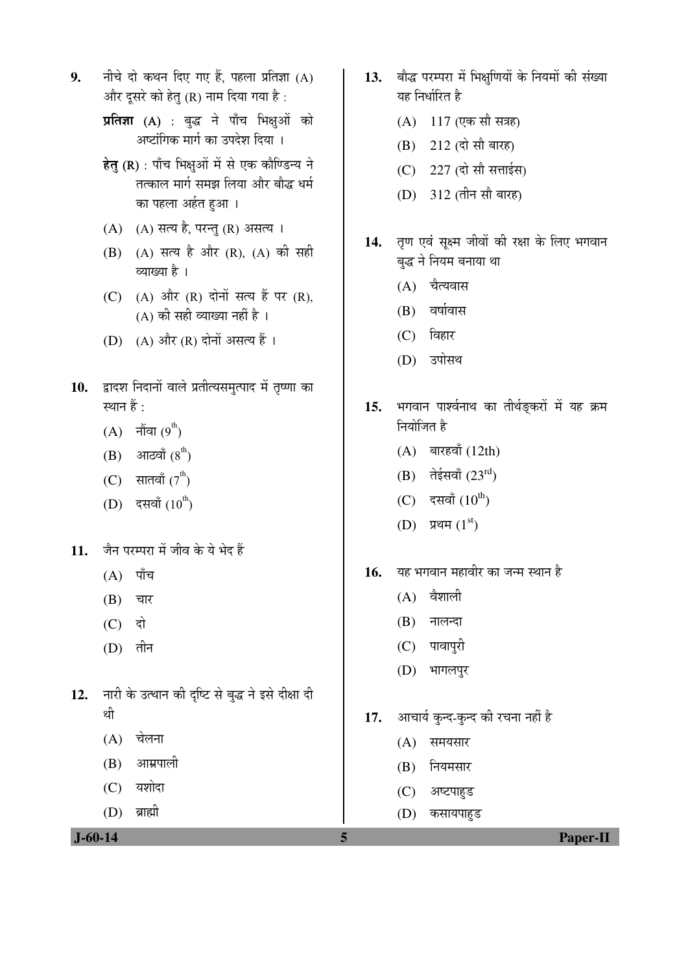- **9.** नीचे दो कथन दिए गए हैं. पहला प्रतिज्ञा (A) और दुसरे को हेत् (R) नाम दिया गया है:
	- प्रतिज्ञा (A) : बुद्ध ने पाँच भिक्षुओं को अष्टांगिक मार्ग का उपदेश दिया ।
	- हेतु (R) : पाँच भिक्षुओं में से एक कौण्डिन्य ने तत्काल मार्ग समझ लिया और बौद्ध धर्म का पहला अर्हत हुआ।
	- $(A)$   $(A)$  सत्य है, परन्तु (R) असत्य ।
	- (B) (A) सत्य है और (R), (A) की सही व्याख्या है ।
	- (C) (A) और (R) दोनों सत्य हैं पर (R),  $(A)$  की सही व्याख्या नहीं है।
	- (D)  $(A)$  और  $(R)$  दोनों असत्य हैं।
- 10. द्वादश निदानों वाले प्रतीत्यसमृत्पाद में तृष्णा का स्थान हैं :
	- (A) नौंवा $(9<sup>th</sup>)$
	- $(B)$  आठवाँ  $(8<sup>th</sup>)$
	- (C) सातवाँ  $(7^{\text{th}})$
	- (D) दसवाँ (10<sup>th</sup>)
- 11. जैन परम्परा में जीव के ये भेद हैं
	- $(A)$  पाँच
	- $(B)$  चार
	- $(C)$  दो
	- $(D)$  तीन
- 12. नारी के उत्थान की दृष्टि से बुद्ध ने इसे दीक्षा दी थी
	- $(A)$  चेलना
	- $(B)$  आम्रपाली
	- $(C)$  यशोदा
	- $(D)$  ब्राह्मी

 $(B)$  नियमसार

17. आचार्य कुन्द-कुन्द की रचना नहीं है

13. बौद्ध परम्परा में भिक्षणियों के नियमों की संख्या

14. तृण एवं सूक्ष्म जीवों की रक्षा के लिए भगवान

15. भगवान पार्श्वनाथ का तीर्थङ्करों में यह क्रम

यह निर्धारित है

 $(A)$  117 (एक सौ सत्रह)

(B) 212 (दो सौ बारह)

 $(C)$  227 (दो सौ सत्ताईस)

(D) 312 (तीन सौ बारह)

बद्ध ने नियम बनाया था

(A) चैत्यवास

 $(B)$  वर्षावास

(C) विहार

(D) उपोसथ

नियोजित है

 $(A)$  बारहवाँ (12th)

 $(B)$  तेईसवाँ (23 $^{rd}$ )

(C) दसवाँ  $(10^{th})$ 

16. यह भगवान महावीर का जन्म स्थान है

(D) प्रथम $(1<sup>st</sup>)$ 

 $(A)$  वैशाली

 $(B)$  नालन्दा

(C) पावापुरी

(D) भागलपुर

- (C) अष्टपाहुड
- 

 **J-60-14 5 Paper-II**

- 
- 
- 
- 
- 
- 
- 
- 
- 
- 
- 
- 
- 
- 

(A) समयसार

- 
- 

(D) कसायपाहुड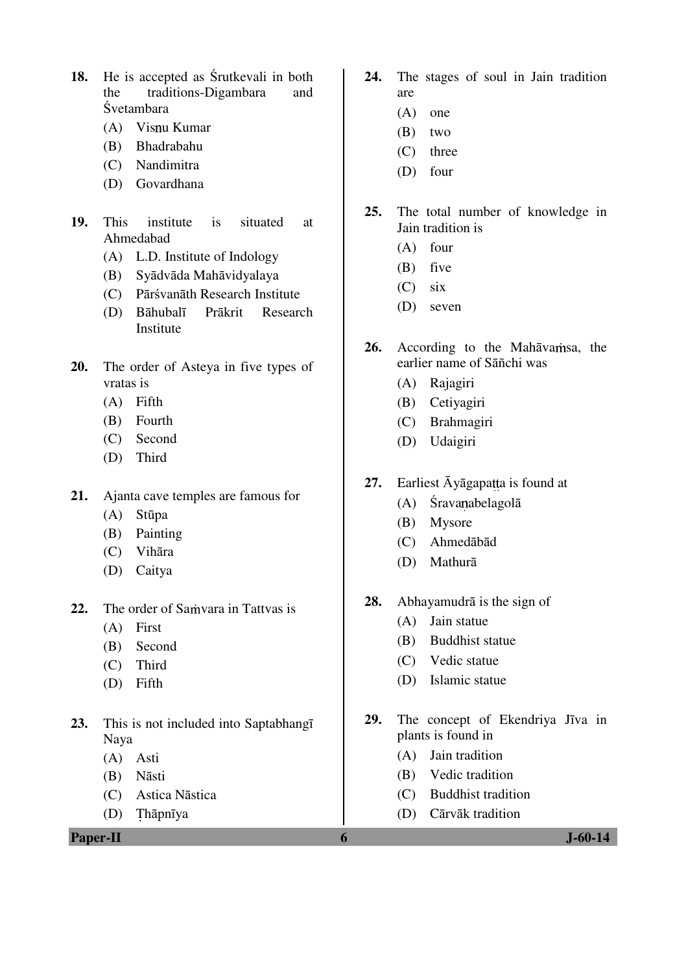- **18.** He is accepted as Śrutkevali in both the traditions-Digambara and Śvetambara
	- (A) Visnu Kumar
	- (B) Bhadrabahu
	- (C) Nandimitra
	- (D) Govardhana
- **19.** This institute is situated at Ahmedabad
	- (A) L.D. Institute of Indology
	- (B) Syādvāda Mahāvidyalaya
	- (C) Pārśvanāth Research Institute
	- (D) Bāhubalī Prākrit Research **Institute**
- **20.** The order of Asteya in five types of vratas is
	- (A) Fifth
	- (B) Fourth
	- (C) Second
	- (D) Third
- **21.** Ajanta cave temples are famous for
	- (A) Stūpa
	- (B) Painting
	- (C) Vihāra
	- (D) Caitya
- 22. The order of Samvara in Tattvas is
	- (A) First
	- (B) Second
	- (C) Third
	- (D) Fifth
- **23.** This is not included into Saptabhangī Naya
	- (A) Asti
	- (B) Nāsti
	- (C) Astica Nāstica
	- $(D)$ Thāpnīya
- **24.** The stages of soul in Jain tradition are
	- (A) one
	- (B) two
	- (C) three
	- (D) four
- **25.** The total number of knowledge in Jain tradition is
	- (A) four
	- (B) five
	- (C) six
	- (D) seven
- 26. According to the Mahāvamsa, the earlier name of Sāñchi was
	- (A) Rajagiri
	- (B) Cetiyagiri
	- (C) Brahmagiri
	- (D) Udaigiri
- 27. Earliest Āyāgapatta is found at
	- $(A)$  Śravanabelagolā
	- (B) Mysore
	- (C) Ahmedābād
	- (D) Mathurā
- **28.** Abhayamudrā is the sign of
	- (A) Jain statue
	- (B) Buddhist statue
	- (C) Vedic statue
	- (D) Islamic statue
- **29.** The concept of Ekendriya Jīva in plants is found in
	- (A) Jain tradition
	- (B) Vedic tradition
	- (C) Buddhist tradition
	- (D) Cārvāk tradition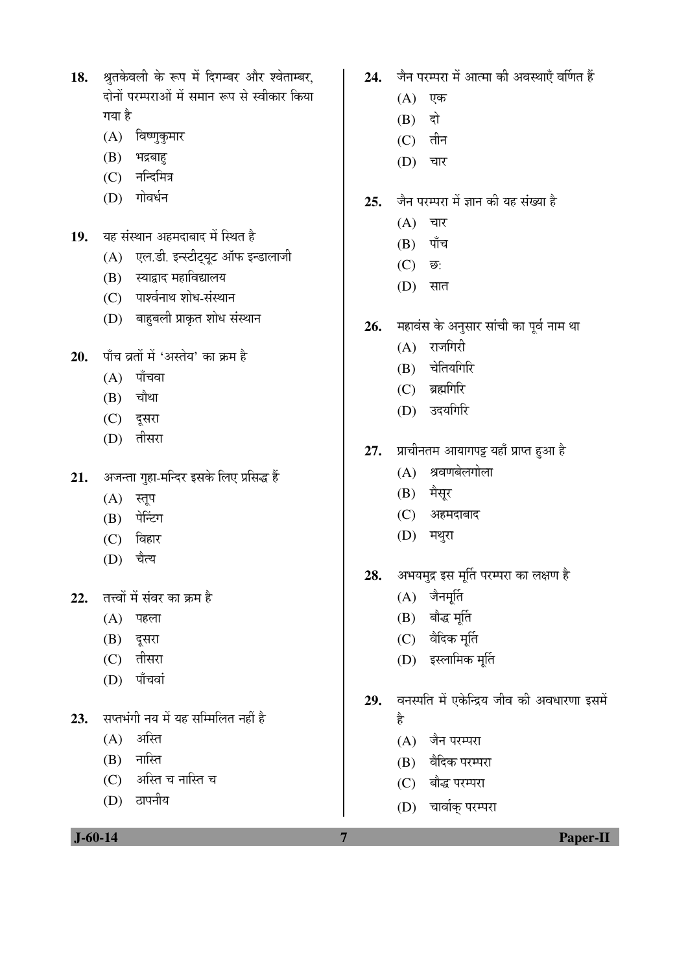- 18. श्रुतकेवली के रूप में दिगम्बर और श्वेताम्बर, दोनों परम्पराओं में समान रूप से स्वीकार किया गया है
	- $(A)$  विष्णुकुमार
	- $(B)$  भद्रबाह
	- $(C)$  नन्दिमित्र
	- $(D)$  गोवर्धन
- 19. यह संस्थान अहमदाबाद में स्थित है
	- $(A)$  एल.डी. इन्स्टीट्यूट ऑफ इन्डालाजी
	- (B) स्याद्वाद महाविद्यालय
	- (C) पार्श्वनाथ शोध-संस्थान
	- (D) बाहुबली प्राकृत शोध संस्थान
- 20. पाँच व्रतों में 'अस्तेय' का क्रम है
	- $(A)$  पाँचवा
	- $(B)$  चौथा
	- (C) दूसरा
	- $(D)$  तीसरा
- 21. ¥जन्ता गुहा-मन्दिर इसके लिए प्रसिद्ध हैं
	- $(A)$  स्तूप
	- (B) पेन्टिंग
	- $(C)$  विहार
	- $(D)$  चैत्य
- **22.** तत्त्वों में संवर का क्रम है
	- $(A)$  पहला
	- (B) दूसरा
	- $(C)$  तीसरा
	- $(D)$  पाँचवां
- 23. सप्तभंगी नय में यह सम्मिलित नहीं है
	- $(A)$  अस्ति
	- $(B)$  नास्ति
	- (C) अस्ति च नास्ति च
	- (D) ठापनीय
- 24. जैन परम्परा में आत्मा की अवस्थाएँ वर्णित हैं
	- $(A)$  एक
	- $(B)$  दो
	- $(C)$  तीन
	- $(D)$  चार
- 25. जैन परम्परा में ज्ञान की यह संख्या है
	- $(A)$  चार
	- $(B)$  पाँच
	- (C)  $\overline{\mathfrak{v}}$ :
	- $(D)$  सात
- 26. महावंस के अनुसार सांची का पूर्व नाम था
	- $(A)$  राजगिरी
	- $(B)$  चेतियगिरि
	- $(C)$  ब्रह्मगिरि
	- (D) उदयगिरि
- 27. प्राचीनतम आयागपट्ट यहाँ प्राप्त हुआ है
	- $(A)$  श्रवणबेलगोला
	- $(B)$  मैसूर
	- (C) अहमदाबाद
	- (D) मथुरा
- 28. अभयमुद्र इस मूर्ति परम्परा का लक्षण है
	- $(A)$  जैनमूर्ति
	- $(B)$  बौद्ध मूर्ति
	- $(C)$  वैदिक मूर्ति
	- (D) इस्लामिक मूर्ति
- 29. वनस्पति में एकेन्द्रिय जीव की अवधारणा इसमें है
	- $(A)$  जैन परम्परा
	- (B) वैदिक परम्परा
	- (C) बौद्ध परम्परा
	- (D) चार्वाक् परम्परा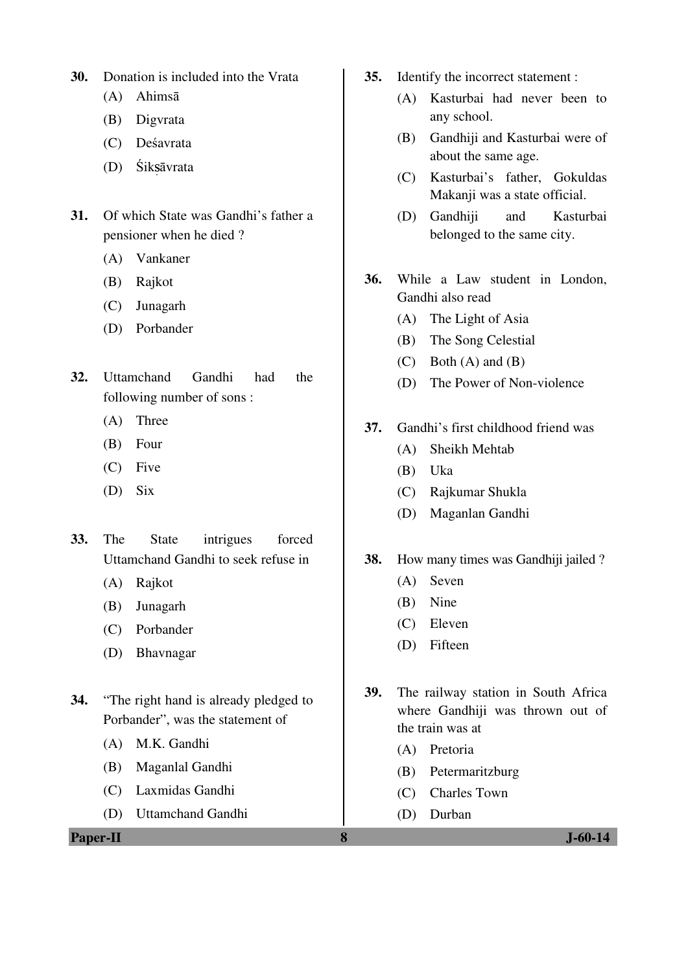- **30.** Donation is included into the Vrata
	- (A) Ahimsā
	- (B) Digvrata
	- (C) Deśavrata
	- (D) Śiksāvrata
- **31.** Of which State was Gandhi's father a pensioner when he died ?
	- (A) Vankaner
	- (B) Rajkot
	- (C) Junagarh
	- (D) Porbander
- **32.** Uttamchand Gandhi had the following number of sons :
	- (A) Three
	- (B) Four
	- (C) Five
	- (D) Six
- **33.** The State intrigues forced Uttamchand Gandhi to seek refuse in
	- (A) Rajkot
	- (B) Junagarh
	- (C) Porbander
	- (D) Bhavnagar
- **34.** "The right hand is already pledged to Porbander", was the statement of
	- (A) M.K. Gandhi
	- (B) Maganlal Gandhi
	- (C) Laxmidas Gandhi
	- (D) Uttamchand Gandhi

**Paper-II 8 J-60-14**

- **35.** Identify the incorrect statement :
	- (A) Kasturbai had never been to any school.
	- (B) Gandhiji and Kasturbai were of about the same age.
	- (C) Kasturbai's father, Gokuldas Makanii was a state official.
	- (D) Gandhiji and Kasturbai belonged to the same city.
- **36.** While a Law student in London, Gandhi also read
	- (A) The Light of Asia
	- (B) The Song Celestial
	- $(C)$  Both  $(A)$  and  $(B)$
	- (D) The Power of Non-violence
- **37.** Gandhi's first childhood friend was
	- (A) Sheikh Mehtab
	- (B) Uka
	- (C) Rajkumar Shukla
	- (D) Maganlan Gandhi
- **38.** How many times was Gandhiji jailed ?
	- (A) Seven
	- (B) Nine
	- (C) Eleven
	- (D) Fifteen
- **39.** The railway station in South Africa where Gandhiji was thrown out of the train was at
	- (A) Pretoria
	- (B) Petermaritzburg
	- (C) Charles Town
	- (D) Durban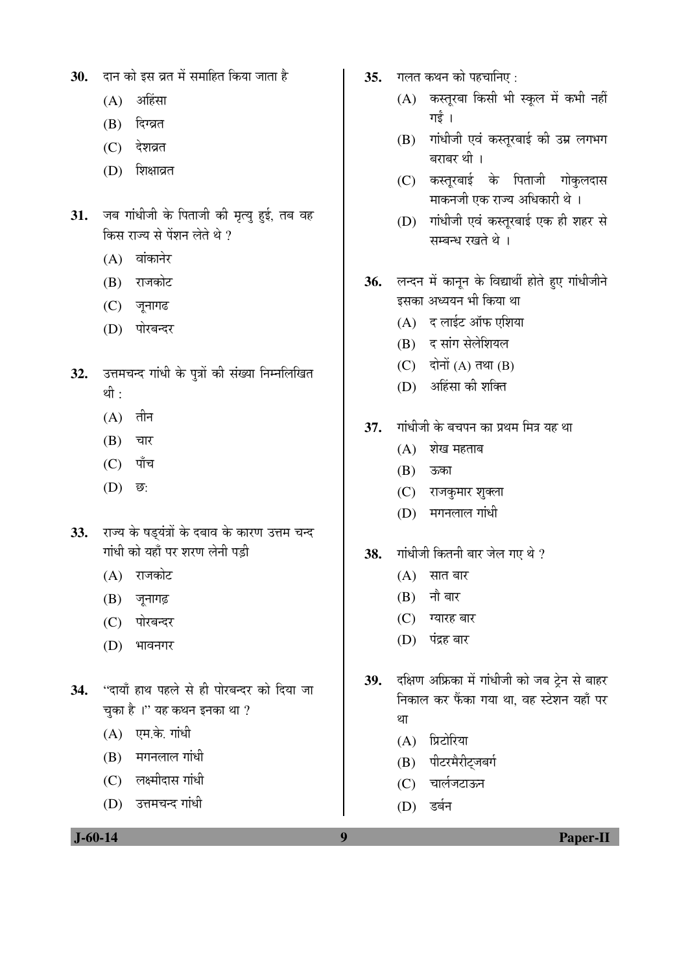- 30. दान को इस व्रत में समाहित किया जाता है
	- $(A)$  अहिंसा
	- (B) दिग्व्रत
	- $(C)$  देशव्रत
	- (D) शिक्षाव्रत
- 31. जब गांधीजी के पिताजी की मृत्यु हुई, तब वह किस राज्य से पेंशन लेते थे  $\overline{\partial}$ 
	- $(A)$  वांकानेर
	- (B) राजकोट
	- $(C)$  जुनागढ
	- (D) पोरबन्दर
- 32. उत्तमचन्द गांधी के पुत्रों की संख्या निम्नलिखित थी $\cdot$ 
	- $(A)$  तीन
	- $(B)$  चार
	- $(C)$  पाँच
	- (D) *ভ*:
- 33. राज्य के षड्यंत्रों के दबाव के कारण उत्तम चन्द गांधी को यहाँ पर शरण लेनी पड़ी
	- $(A)$  राजकोट
	- $(B)$  जूनागढ़
	- (C) पोरबन्दर
	- (D) भावनगर
- 34. "दायाँ हाथ पहले से ही पोरबन्दर को दिया जा चुका है ।" यह कथन इनका था ?
	- $(A)$  एम.के. गांधी
	- $(B)$  मगनलाल गांधी
	- $(C)$  लक्ष्मीदास गांधी
	- (D) उत्तमचन्द गांधी
- 35. गलत कथन को पहचानिए:
	- (A) कस्तूरबा किसी भी स्कूल में कभी नहीं गई ।
	- $(B)$  गांधीजी एवं कस्तूरबाई की उम्र लगभग बराबर थी ।
	- (C) कस्तूरबाई के पिताजी गोकुलदास <u>माकनजी एक राज्य अधिकारी थे</u> ।
	- (D) गांधीजी एवं कस्तूरबाई एक ही शहर से सम्बन्ध रखते थे ।
- 36. लन्दन में कानून के विद्यार्थी होते हुए गांधीजीने इसका अध्ययन भी किया था
	- $(A)$  द लाईट ऑफ एशिया
	- (B) द सांग सेलेशियल
	- $(C)$  दोनों  $(A)$  तथा  $(B)$
	- (D) अहिंसा की शक्ति
- 37. गांधीजी के बचपन का प्रथम मित्र यह था
	- $(A)$  शेख महताब
	- (B) ऊका
	- (C) राजकुमार शुक्ला
	- $(D)$  मगनलाल गांधी
- 38. Tiiधीजी कितनी बार जेल गए थे ?
	- $(A)$  सात बार
	- $(B)$  नौ बार
	- (C) ग्यारह बार
	- (D) पंद्रह बार
- 39. दक्षिण अफ्रिका में गांधीजी को जब ट्रेन से बाहर <u>निकाल कर फैंका गया था, वह स्टेशन यहाँ पर</u> £ÖÖ
	- (A) प्रिटोरिया
	- (B) पीटरमैरीट्जबर्ग
	- (C) चार्लजटाऊन
	- (D) डर्बन

 **J-60-14 9 Paper-II**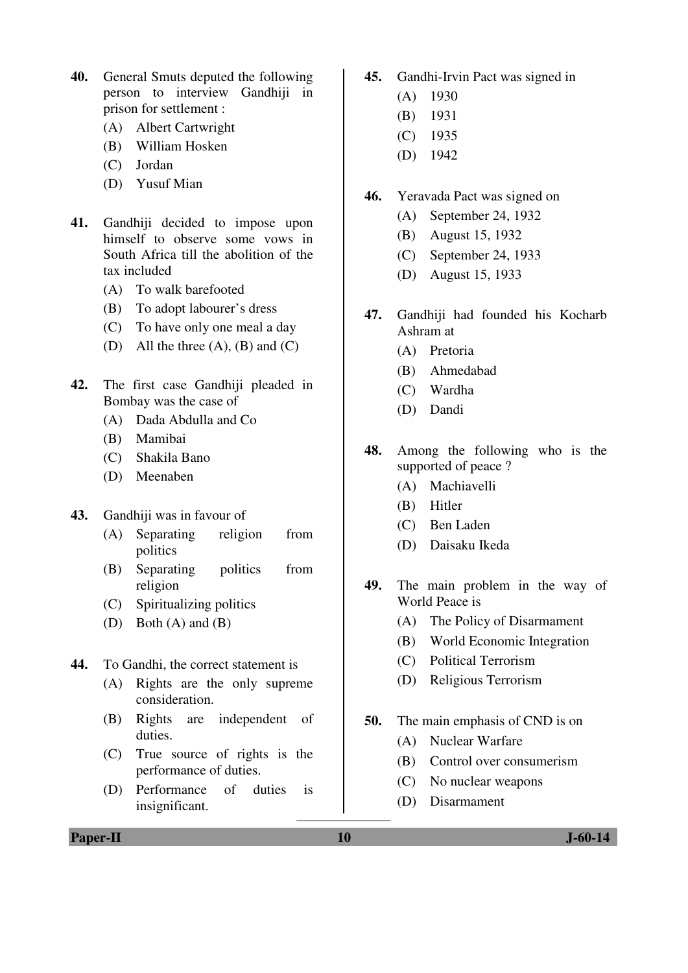- **40.** General Smuts deputed the following person to interview Gandhiji in prison for settlement :
	- (A) Albert Cartwright
	- (B) William Hosken
	- (C) Jordan
	- (D) Yusuf Mian
- **41.** Gandhiji decided to impose upon himself to observe some vows in South Africa till the abolition of the tax included
	- (A) To walk barefooted
	- (B) To adopt labourer's dress
	- (C) To have only one meal a day
	- (D) All the three  $(A)$ ,  $(B)$  and  $(C)$
- **42.** The first case Gandhiji pleaded in Bombay was the case of
	- (A) Dada Abdulla and Co
	- (B) Mamibai
	- (C) Shakila Bano
	- (D) Meenaben
- **43.** Gandhiji was in favour of
	- (A) Separating religion from politics
	- (B) Separating politics from religion
	- (C) Spiritualizing politics
	- (D) Both (A) and (B)
- **44.** To Gandhi, the correct statement is
	- (A) Rights are the only supreme consideration.
	- (B) Rights are independent of duties.
	- (C) True source of rights is the performance of duties.
	- (D) Performance of duties is insignificant.
- **45.** Gandhi-Irvin Pact was signed in
	- (A) 1930
	- (B) 1931
	- (C) 1935
	- (D) 1942
- **46.** Yeravada Pact was signed on
	- (A) September 24, 1932
	- (B) August 15, 1932
	- (C) September 24, 1933
	- (D) August 15, 1933
- **47.** Gandhiji had founded his Kocharb Ashram at
	- (A) Pretoria
	- (B) Ahmedabad
	- (C) Wardha
	- (D) Dandi
- **48.** Among the following who is the supported of peace ?
	- (A) Machiavelli
	- (B) Hitler
	- (C) Ben Laden
	- (D) Daisaku Ikeda
- **49.** The main problem in the way of World Peace is
	- (A) The Policy of Disarmament
	- (B) World Economic Integration
	- (C) Political Terrorism
	- (D) Religious Terrorism
- **50.** The main emphasis of CND is on
	- (A) Nuclear Warfare
	- (B) Control over consumerism
	- (C) No nuclear weapons
	- (D) Disarmament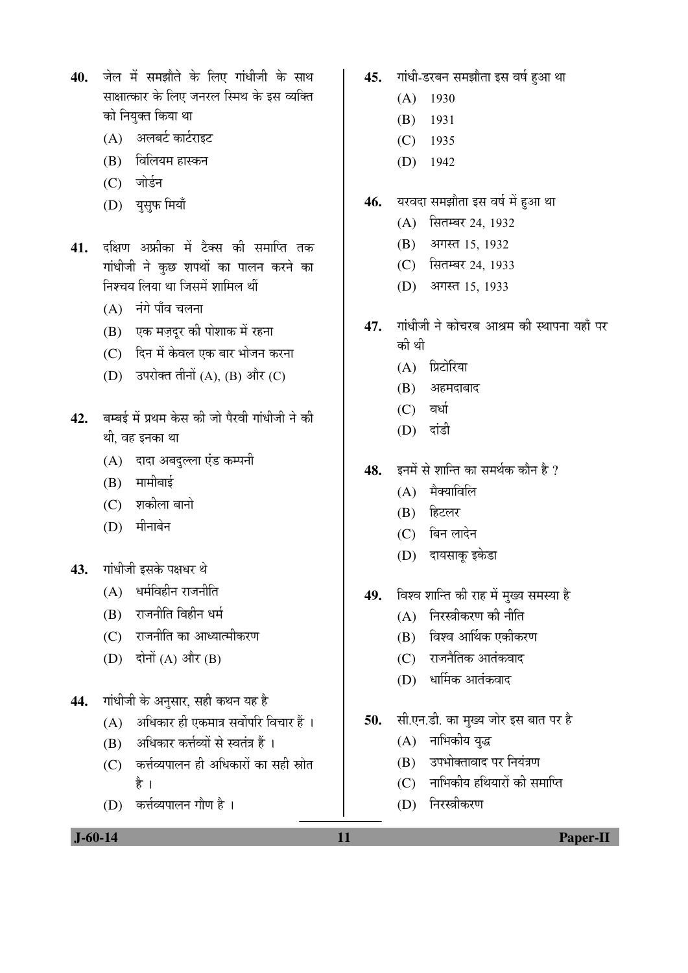- 40. जेल में समझौते के लिए गांधीजी के साथ साक्षात्कार के लिए जनरल स्मिथ के इस व्यक्ति को नियुक्त किया था
	- $(A)$  अलबर्ट कार्टराइट
	- $(B)$  विलियम हास्कन
	- (C) जोर्डन
	- (D) युसुफ मियाँ
- 41. दक्षिण अफ्रीका में टैक्स की समाप्ति तक गांधीजी ने कुछ शपथों का पालन करने का निश्चय लिया था जिसमें शामिल थीं
	- $(A)$  नंगे पाँव चलना
	- (B) एक मज़दूर की पोशाक में रहना
	- (C) दिन में केवल एक बार भोजन करना
	- $(D)$  उपरोक्त तीनों  $(A)$ ,  $(B)$  और  $(C)$
- 42. बम्बई में प्रथम केस की जो पैरवी गांधीजी ने की थी, वह इनका था
	- (A) दादा अबदुल्ला एंड कम्पनी
	- $(B)$  मामीबाई
	- $(C)$  शकीला बानो
	- $(D)$  मीनाबेन
- 43. गांधीजी इसके पक्षधर थे
	- $(A)$  धर्मविहीन राजनीति
	- $(B)$  राजनीति विहीन धर्म
	- (C) राजनीति का आध्यात्मीकरण
	- (D) दोनों (A) और (B)
- 44. गांधीजी के अनुसार, सही कथन यह है
	- $(A)$  अधिकार ही एकमात्र सर्वोपरि विचार हैं ।
	- (B) अधिकार कर्त्तव्यों से स्वतंत्र हैं ।
	- $(C)$  कर्त्तव्यपालन ही अधिकारों का सही स्रोत है ।
	- $(D)$  कर्त्तव्यपालन गौण है।
- 45. गांधी-डरबन समझौता इस वर्ष हुआ था
	- (A) 1930
	- (B) 1931
	- (C) 1935
	- (D) 1942
- 46. यरवदा समझौता इस वर्ष में हुआ था
	- (A) सितम्बर 24, 1932
	- (B) अगस्त 15, 1932
	- (C) सितम्बर 24, 1933
	- (D) आगस्त 15, 1933
- 47. गांधीजी ने कोचरब आश्रम की स्थापना यहाँ पर की थी
	- (A) प्रिटोरिया
	- $(B)$  अहमदाबाद
	- $(C)$  वर्धा
	- (D) दांडी
- 48. इनमें से शान्ति का समर्थक कौन है ?
	- $(A)$  मैक्याविलि
	- $(B)$  हिटलर
	- (C) बिन लादेन
	- (D) दायसाकू इकेडा
- 49. विश्व शान्ति की राह में मुख्य समस्या है
	- $(A)$  निरस्त्रीकरण की नीति
	- $(B)$  विश्व आर्थिक एकीकरण
	- $(C)$  ) राजनैतिक आतंकवाद
	- (D) धार्मिक आतंकवाद
- 50. सी.एन.डी. का मुख्य जोर इस बात पर है
	- $(A)$  नाभिकीय युद्ध
	- (B) उपभोक्तावाद पर नियंत्रण
	- $(C)$  नाभिकीय हथियारों की समाप्ति
	- (D) निरस्त्रीकरण